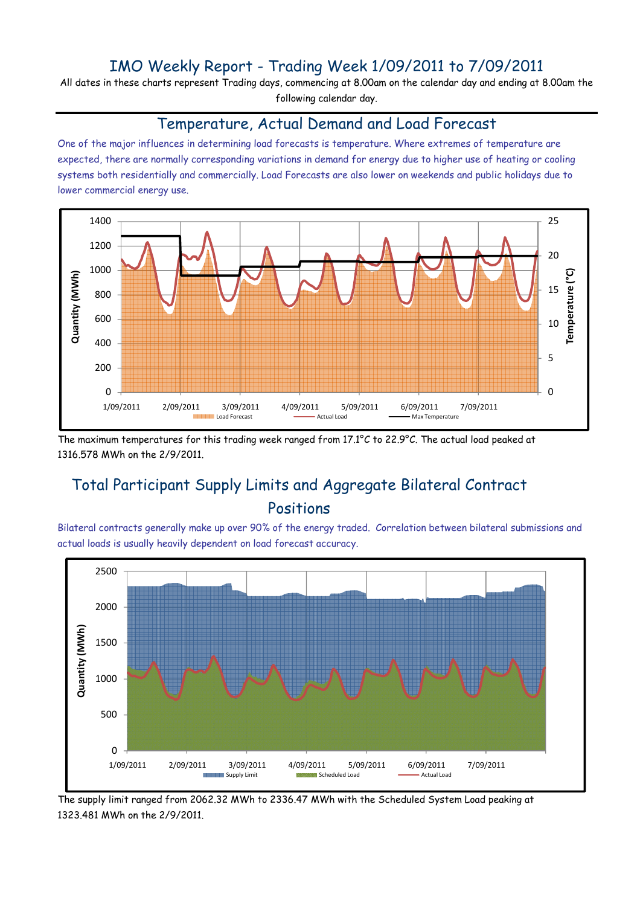### IMO Weekly Report - Trading Week 1/09/2011 to 7/09/2011

All dates in these charts represent Trading days, commencing at 8.00am on the calendar day and ending at 8.00am the following calendar day.

#### Temperature, Actual Demand and Load Forecast

One of the major influences in determining load forecasts is temperature. Where extremes of temperature are expected, there are normally corresponding variations in demand for energy due to higher use of heating or cooling systems both residentially and commercially. Load Forecasts are also lower on weekends and public holidays due to lower commercial energy use.



The maximum temperatures for this trading week ranged from 17.1°C to 22.9°C. The actual load peaked at 1316.578 MWh on the 2/9/2011.

# Total Participant Supply Limits and Aggregate Bilateral Contract Positions

Bilateral contracts generally make up over 90% of the energy traded. Correlation between bilateral submissions and actual loads is usually heavily dependent on load forecast accuracy.



The supply limit ranged from 2062.32 MWh to 2336.47 MWh with the Scheduled System Load peaking at 1323.481 MWh on the 2/9/2011.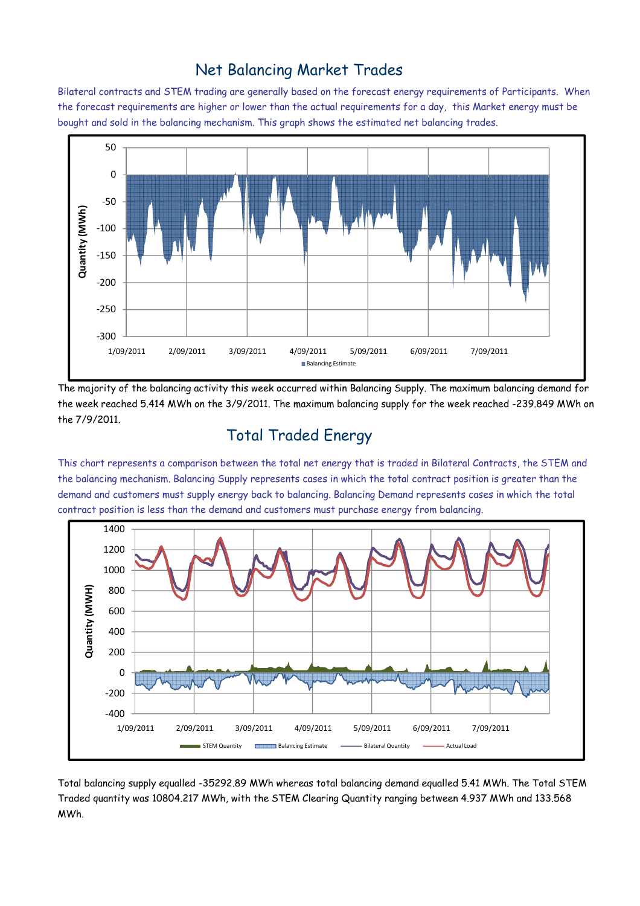### Net Balancing Market Trades

Bilateral contracts and STEM trading are generally based on the forecast energy requirements of Participants. When the forecast requirements are higher or lower than the actual requirements for a day, this Market energy must be bought and sold in the balancing mechanism. This graph shows the estimated net balancing trades.



The majority of the balancing activity this week occurred within Balancing Supply. The maximum balancing demand for the week reached 5.414 MWh on the 3/9/2011. The maximum balancing supply for the week reached -239.849 MWh on the 7/9/2011.

# Total Traded Energy

This chart represents a comparison between the total net energy that is traded in Bilateral Contracts, the STEM and the balancing mechanism. Balancing Supply represents cases in which the total contract position is greater than the demand and customers must supply energy back to balancing. Balancing Demand represents cases in which the total contract position is less than the demand and customers must purchase energy from balancing.



Total balancing supply equalled -35292.89 MWh whereas total balancing demand equalled 5.41 MWh. The Total STEM Traded quantity was 10804.217 MWh, with the STEM Clearing Quantity ranging between 4.937 MWh and 133.568 MWh.